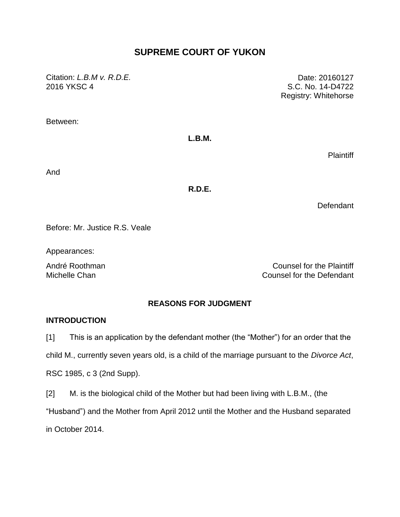# **SUPREME COURT OF YUKON**

Citation: *L.B.M v. R.D.E.* 2016 YKSC 4

Date: 20160127 S.C. No. 14-D4722 Registry: Whitehorse

Between:

#### **L.B.M.**

**Plaintiff** 

And

**R.D.E.**

**Defendant** 

Before: Mr. Justice R.S. Veale

Appearances:

André Roothman **Counsel for the Plaintiff** Michelle Chan Counsel for the Defendant

### **REASONS FOR JUDGMENT**

### **INTRODUCTION**

[1] This is an application by the defendant mother (the "Mother") for an order that the

child M., currently seven years old, is a child of the marriage pursuant to the *Divorce Act*,

RSC 1985, c 3 (2nd Supp).

[2] M. is the biological child of the Mother but had been living with L.B.M., (the

"Husband") and the Mother from April 2012 until the Mother and the Husband separated

in October 2014.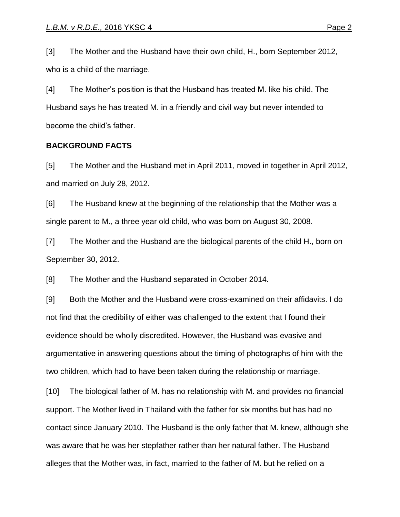[3] The Mother and the Husband have their own child, H., born September 2012, who is a child of the marriage.

[4] The Mother's position is that the Husband has treated M. like his child. The Husband says he has treated M. in a friendly and civil way but never intended to become the child's father.

#### **BACKGROUND FACTS**

[5] The Mother and the Husband met in April 2011, moved in together in April 2012, and married on July 28, 2012.

[6] The Husband knew at the beginning of the relationship that the Mother was a single parent to M., a three year old child, who was born on August 30, 2008.

[7] The Mother and the Husband are the biological parents of the child H., born on September 30, 2012.

[8] The Mother and the Husband separated in October 2014.

[9] Both the Mother and the Husband were cross-examined on their affidavits. I do not find that the credibility of either was challenged to the extent that I found their evidence should be wholly discredited. However, the Husband was evasive and argumentative in answering questions about the timing of photographs of him with the two children, which had to have been taken during the relationship or marriage.

[10] The biological father of M. has no relationship with M. and provides no financial support. The Mother lived in Thailand with the father for six months but has had no contact since January 2010. The Husband is the only father that M. knew, although she was aware that he was her stepfather rather than her natural father. The Husband alleges that the Mother was, in fact, married to the father of M. but he relied on a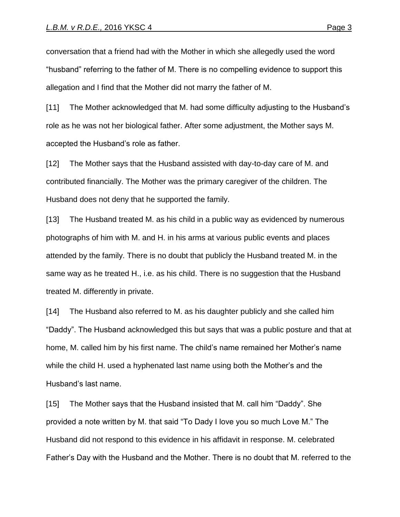conversation that a friend had with the Mother in which she allegedly used the word "husband" referring to the father of M. There is no compelling evidence to support this allegation and I find that the Mother did not marry the father of M.

[11] The Mother acknowledged that M. had some difficulty adjusting to the Husband's role as he was not her biological father. After some adjustment, the Mother says M. accepted the Husband's role as father.

[12] The Mother says that the Husband assisted with day-to-day care of M. and contributed financially. The Mother was the primary caregiver of the children. The Husband does not deny that he supported the family.

[13] The Husband treated M. as his child in a public way as evidenced by numerous photographs of him with M. and H. in his arms at various public events and places attended by the family. There is no doubt that publicly the Husband treated M. in the same way as he treated H., i.e. as his child. There is no suggestion that the Husband treated M. differently in private.

[14] The Husband also referred to M. as his daughter publicly and she called him "Daddy". The Husband acknowledged this but says that was a public posture and that at home, M. called him by his first name. The child's name remained her Mother's name while the child H. used a hyphenated last name using both the Mother's and the Husband's last name.

[15] The Mother says that the Husband insisted that M. call him "Daddy". She provided a note written by M. that said "To Dady I love you so much Love M." The Husband did not respond to this evidence in his affidavit in response. M. celebrated Father's Day with the Husband and the Mother. There is no doubt that M. referred to the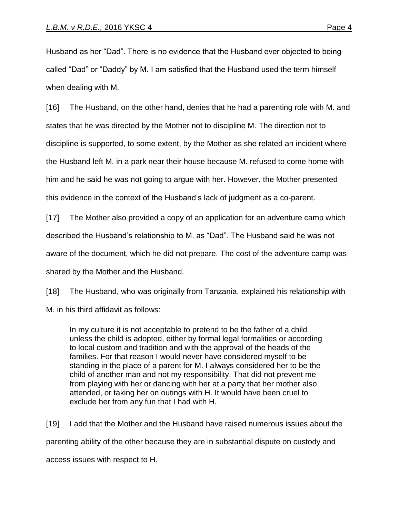Husband as her "Dad". There is no evidence that the Husband ever objected to being called "Dad" or "Daddy" by M. I am satisfied that the Husband used the term himself when dealing with M.

[16] The Husband, on the other hand, denies that he had a parenting role with M. and states that he was directed by the Mother not to discipline M. The direction not to discipline is supported, to some extent, by the Mother as she related an incident where the Husband left M. in a park near their house because M. refused to come home with him and he said he was not going to argue with her. However, the Mother presented this evidence in the context of the Husband's lack of judgment as a co-parent.

[17] The Mother also provided a copy of an application for an adventure camp which described the Husband's relationship to M. as "Dad". The Husband said he was not aware of the document, which he did not prepare. The cost of the adventure camp was shared by the Mother and the Husband.

[18] The Husband, who was originally from Tanzania, explained his relationship with M. in his third affidavit as follows:

In my culture it is not acceptable to pretend to be the father of a child unless the child is adopted, either by formal legal formalities or according to local custom and tradition and with the approval of the heads of the families. For that reason I would never have considered myself to be standing in the place of a parent for M. I always considered her to be the child of another man and not my responsibility. That did not prevent me from playing with her or dancing with her at a party that her mother also attended, or taking her on outings with H. It would have been cruel to exclude her from any fun that I had with H.

[19] I add that the Mother and the Husband have raised numerous issues about the parenting ability of the other because they are in substantial dispute on custody and access issues with respect to H.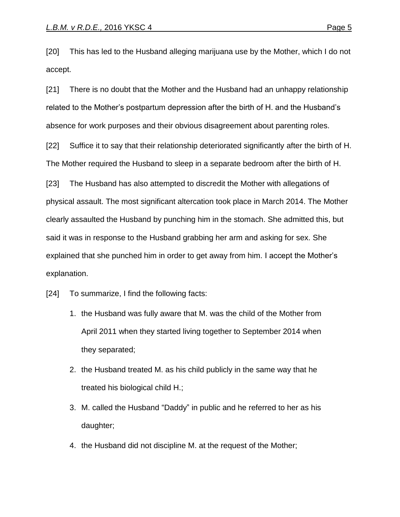[20] This has led to the Husband alleging marijuana use by the Mother, which I do not accept.

[21] There is no doubt that the Mother and the Husband had an unhappy relationship related to the Mother's postpartum depression after the birth of H. and the Husband's absence for work purposes and their obvious disagreement about parenting roles.

[22] Suffice it to say that their relationship deteriorated significantly after the birth of H. The Mother required the Husband to sleep in a separate bedroom after the birth of H.

[23] The Husband has also attempted to discredit the Mother with allegations of physical assault. The most significant altercation took place in March 2014. The Mother clearly assaulted the Husband by punching him in the stomach. She admitted this, but said it was in response to the Husband grabbing her arm and asking for sex. She explained that she punched him in order to get away from him. I accept the Mother's explanation.

[24] To summarize, I find the following facts:

- 1. the Husband was fully aware that M. was the child of the Mother from April 2011 when they started living together to September 2014 when they separated;
- 2. the Husband treated M. as his child publicly in the same way that he treated his biological child H.;
- 3. M. called the Husband "Daddy" in public and he referred to her as his daughter;
- 4. the Husband did not discipline M. at the request of the Mother;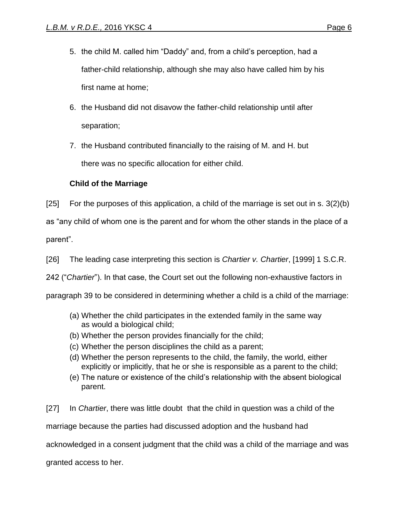- 5. the child M. called him "Daddy" and, from a child's perception, had a father-child relationship, although she may also have called him by his first name at home;
- 6. the Husband did not disavow the father-child relationship until after separation;
- 7. the Husband contributed financially to the raising of M. and H. but there was no specific allocation for either child.

## **Child of the Marriage**

[25] For the purposes of this application, a child of the marriage is set out in s. 3(2)(b)

as "any child of whom one is the parent and for whom the other stands in the place of a

parent".

[26] The leading case interpreting this section is *Chartier v. Chartier*, [1999] 1 S.C.R.

242 ("*Chartier*"). In that case, the Court set out the following non-exhaustive factors in

paragraph 39 to be considered in determining whether a child is a child of the marriage:

- (a) Whether the child participates in the extended family in the same way as would a biological child;
- (b) Whether the person provides financially for the child;
- (c) Whether the person disciplines the child as a parent;
- (d) Whether the person represents to the child, the family, the world, either explicitly or implicitly, that he or she is responsible as a parent to the child;
- (e) The nature or existence of the child's relationship with the absent biological parent.

[27] In *Chartier*, there was little doubt that the child in question was a child of the marriage because the parties had discussed adoption and the husband had acknowledged in a consent judgment that the child was a child of the marriage and was granted access to her.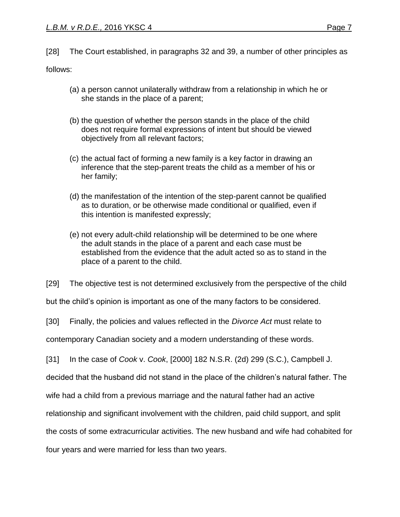[28] The Court established, in paragraphs 32 and 39, a number of other principles as

follows:

- (a) a person cannot unilaterally withdraw from a relationship in which he or she stands in the place of a parent;
- (b) the question of whether the person stands in the place of the child does not require formal expressions of intent but should be viewed objectively from all relevant factors;
- (c) the actual fact of forming a new family is a key factor in drawing an inference that the step-parent treats the child as a member of his or her family;
- (d) the manifestation of the intention of the step-parent cannot be qualified as to duration, or be otherwise made conditional or qualified, even if this intention is manifested expressly;
- (e) not every adult-child relationship will be determined to be one where the adult stands in the place of a parent and each case must be established from the evidence that the adult acted so as to stand in the place of a parent to the child.

[29] The objective test is not determined exclusively from the perspective of the child

but the child's opinion is important as one of the many factors to be considered.

[30] Finally, the policies and values reflected in the *Divorce Act* must relate to

contemporary Canadian society and a modern understanding of these words.

[31] In the case of *Cook* v. *Cook*, [2000] 182 N.S.R. (2d) 299 (S.C.), Campbell J.

decided that the husband did not stand in the place of the children's natural father. The

wife had a child from a previous marriage and the natural father had an active

relationship and significant involvement with the children, paid child support, and split

the costs of some extracurricular activities. The new husband and wife had cohabited for

four years and were married for less than two years.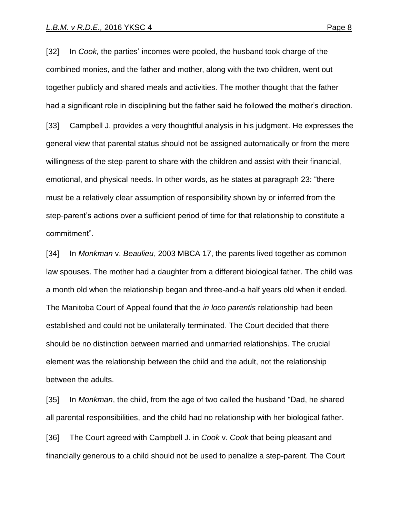[32] In *Cook,* the parties' incomes were pooled, the husband took charge of the combined monies, and the father and mother, along with the two children, went out together publicly and shared meals and activities. The mother thought that the father had a significant role in disciplining but the father said he followed the mother's direction. [33] Campbell J. provides a very thoughtful analysis in his judgment. He expresses the general view that parental status should not be assigned automatically or from the mere willingness of the step-parent to share with the children and assist with their financial, emotional, and physical needs. In other words, as he states at paragraph 23: "there must be a relatively clear assumption of responsibility shown by or inferred from the step-parent's actions over a sufficient period of time for that relationship to constitute a commitment".

[34] In *Monkman* v. *Beaulieu*, 2003 MBCA 17, the parents lived together as common law spouses. The mother had a daughter from a different biological father. The child was a month old when the relationship began and three-and-a half years old when it ended. The Manitoba Court of Appeal found that the *in loco parentis* relationship had been established and could not be unilaterally terminated. The Court decided that there should be no distinction between married and unmarried relationships. The crucial element was the relationship between the child and the adult, not the relationship between the adults.

[35] In *Monkman*, the child, from the age of two called the husband "Dad, he shared all parental responsibilities, and the child had no relationship with her biological father. [36] The Court agreed with Campbell J. in *Cook* v. *Cook* that being pleasant and financially generous to a child should not be used to penalize a step-parent. The Court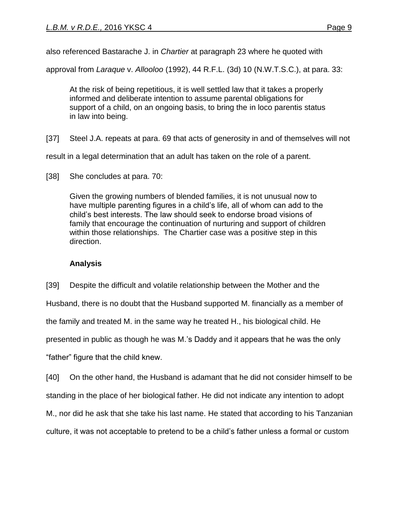also referenced Bastarache J. in *Chartier* at paragraph 23 where he quoted with

approval from *Laraque* v. *Allooloo* (1992), 44 R.F.L. (3d) 10 (N.W.T.S.C.), at para. 33:

At the risk of being repetitious, it is well settled law that it takes a properly informed and deliberate intention to assume parental obligations for support of a child, on an ongoing basis, to bring the in loco parentis status in law into being.

[37] Steel J.A. repeats at para. 69 that acts of generosity in and of themselves will not

result in a legal determination that an adult has taken on the role of a parent.

Given the growing numbers of blended families, it is not unusual now to have multiple parenting figures in a child's life, all of whom can add to the child's best interests. The law should seek to endorse broad visions of family that encourage the continuation of nurturing and support of children within those relationships. The Chartier case was a positive step in this direction.

## **Analysis**

[39] Despite the difficult and volatile relationship between the Mother and the Husband, there is no doubt that the Husband supported M. financially as a member of the family and treated M. in the same way he treated H., his biological child. He presented in public as though he was M.'s Daddy and it appears that he was the only "father" figure that the child knew.

[40] On the other hand, the Husband is adamant that he did not consider himself to be standing in the place of her biological father. He did not indicate any intention to adopt M., nor did he ask that she take his last name. He stated that according to his Tanzanian culture, it was not acceptable to pretend to be a child's father unless a formal or custom

<sup>[38]</sup> She concludes at para. 70: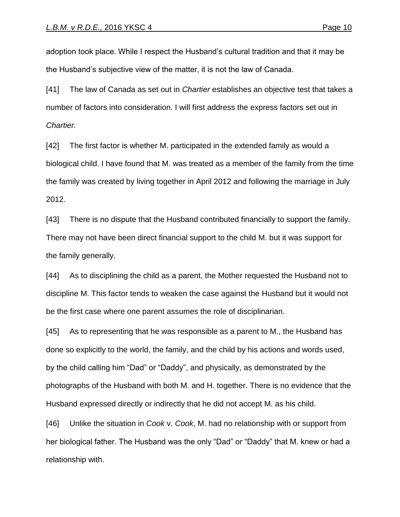adoption took place. While I respect the Husband's cultural tradition and that it may be the Husband's subjective view of the matter, it is not the law of Canada.

[41] The law of Canada as set out in *Chartier* establishes an objective test that takes a number of factors into consideration. I will first address the express factors set out in *Chartier.*

[42] The first factor is whether M. participated in the extended family as would a biological child. I have found that M. was treated as a member of the family from the time the family was created by living together in April 2012 and following the marriage in July 2012.

[43] There is no dispute that the Husband contributed financially to support the family. There may not have been direct financial support to the child M. but it was support for the family generally.

[44] As to disciplining the child as a parent, the Mother requested the Husband not to discipline M. This factor tends to weaken the case against the Husband but it would not be the first case where one parent assumes the role of disciplinarian.

[45] As to representing that he was responsible as a parent to M., the Husband has done so explicitly to the world, the family, and the child by his actions and words used, by the child calling him "Dad" or "Daddy", and physically, as demonstrated by the photographs of the Husband with both M. and H. together. There is no evidence that the Husband expressed directly or indirectly that he did not accept M. as his child.

[46] Unlike the situation in *Cook* v. *Cook*, M. had no relationship with or support from her biological father. The Husband was the only "Dad" or "Daddy" that M. knew or had a relationship with.